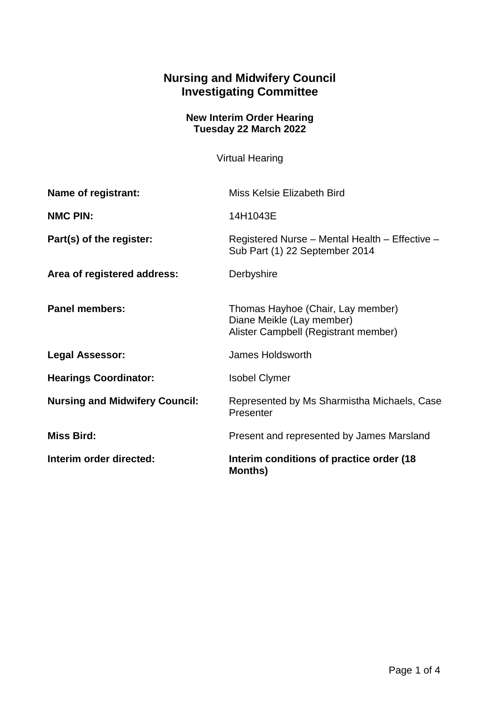## **Nursing and Midwifery Council Investigating Committee**

## **New Interim Order Hearing Tuesday 22 March 2022**

Virtual Hearing

| Name of registrant:                   | Miss Kelsie Elizabeth Bird                                                                             |
|---------------------------------------|--------------------------------------------------------------------------------------------------------|
| <b>NMC PIN:</b>                       | 14H1043E                                                                                               |
| Part(s) of the register:              | Registered Nurse - Mental Health - Effective -<br>Sub Part (1) 22 September 2014                       |
| Area of registered address:           | Derbyshire                                                                                             |
| <b>Panel members:</b>                 | Thomas Hayhoe (Chair, Lay member)<br>Diane Meikle (Lay member)<br>Alister Campbell (Registrant member) |
| <b>Legal Assessor:</b>                | James Holdsworth                                                                                       |
| <b>Hearings Coordinator:</b>          | <b>Isobel Clymer</b>                                                                                   |
| <b>Nursing and Midwifery Council:</b> | Represented by Ms Sharmistha Michaels, Case<br>Presenter                                               |
| <b>Miss Bird:</b>                     | Present and represented by James Marsland                                                              |
| Interim order directed:               | Interim conditions of practice order (18)<br><b>Months)</b>                                            |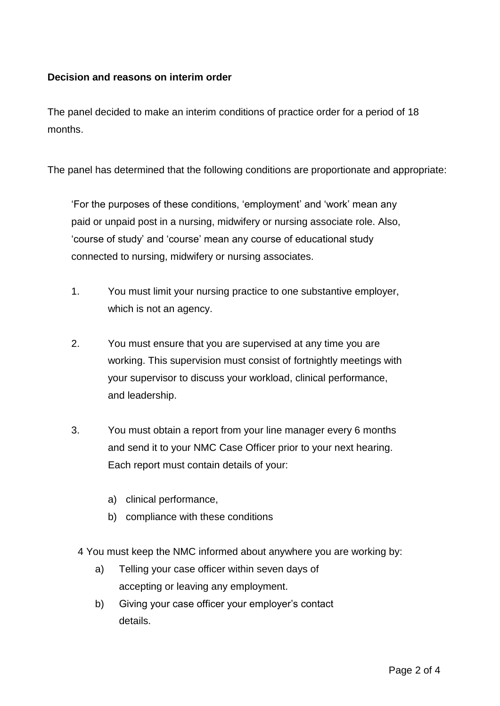## **Decision and reasons on interim order**

The panel decided to make an interim conditions of practice order for a period of 18 months.

The panel has determined that the following conditions are proportionate and appropriate:

'For the purposes of these conditions, 'employment' and 'work' mean any paid or unpaid post in a nursing, midwifery or nursing associate role. Also, 'course of study' and 'course' mean any course of educational study connected to nursing, midwifery or nursing associates.

- 1. You must limit your nursing practice to one substantive employer, which is not an agency.
- 2. You must ensure that you are supervised at any time you are working. This supervision must consist of fortnightly meetings with your supervisor to discuss your workload, clinical performance, and leadership.
- 3. You must obtain a report from your line manager every 6 months and send it to your NMC Case Officer prior to your next hearing. Each report must contain details of your:
	- a) clinical performance,
	- b) compliance with these conditions
	- 4 You must keep the NMC informed about anywhere you are working by:
		- a) Telling your case officer within seven days of accepting or leaving any employment.
		- b) Giving your case officer your employer's contact details.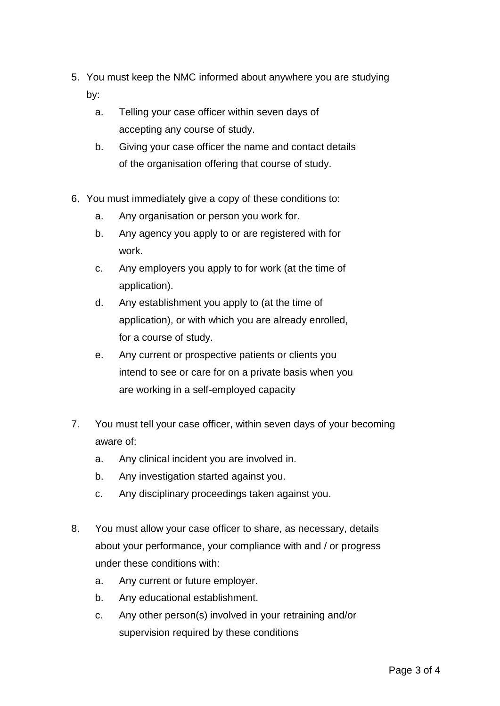- 5. You must keep the NMC informed about anywhere you are studying by:
	- a. Telling your case officer within seven days of accepting any course of study.
	- b. Giving your case officer the name and contact details of the organisation offering that course of study.
- 6. You must immediately give a copy of these conditions to:
	- a. Any organisation or person you work for.
	- b. Any agency you apply to or are registered with for work.
	- c. Any employers you apply to for work (at the time of application).
	- d. Any establishment you apply to (at the time of application), or with which you are already enrolled, for a course of study.
	- e. Any current or prospective patients or clients you intend to see or care for on a private basis when you are working in a self-employed capacity
- 7. You must tell your case officer, within seven days of your becoming aware of:
	- a. Any clinical incident you are involved in.
	- b. Any investigation started against you.
	- c. Any disciplinary proceedings taken against you.
- 8. You must allow your case officer to share, as necessary, details about your performance, your compliance with and / or progress under these conditions with:
	- a. Any current or future employer.
	- b. Any educational establishment.
	- c. Any other person(s) involved in your retraining and/or supervision required by these conditions